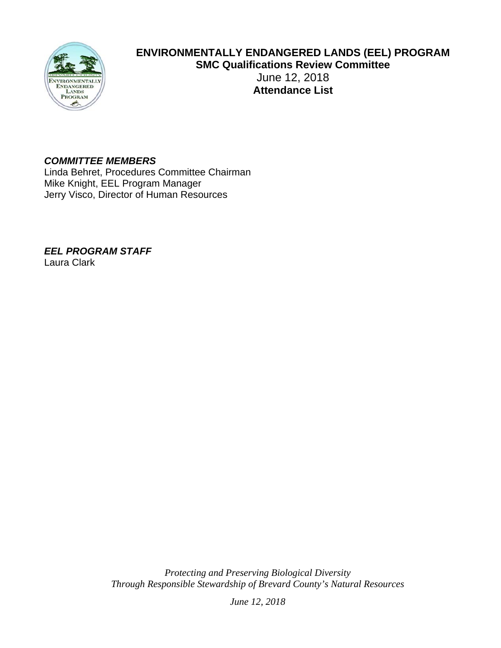

# **ENVIRONMENTALLY ENDANGERED LANDS (EEL) PROGRAM SMC Qualifications Review Committee**  June 12, 2018 **Attendance List**

#### *COMMITTEE MEMBERS*

Linda Behret, Procedures Committee Chairman Mike Knight, EEL Program Manager Jerry Visco, Director of Human Resources

*EEL PROGRAM STAFF* 

Laura Clark

*Protecting and Preserving Biological Diversity Through Responsible Stewardship of Brevard County's Natural Resources* 

*June 12, 2018*